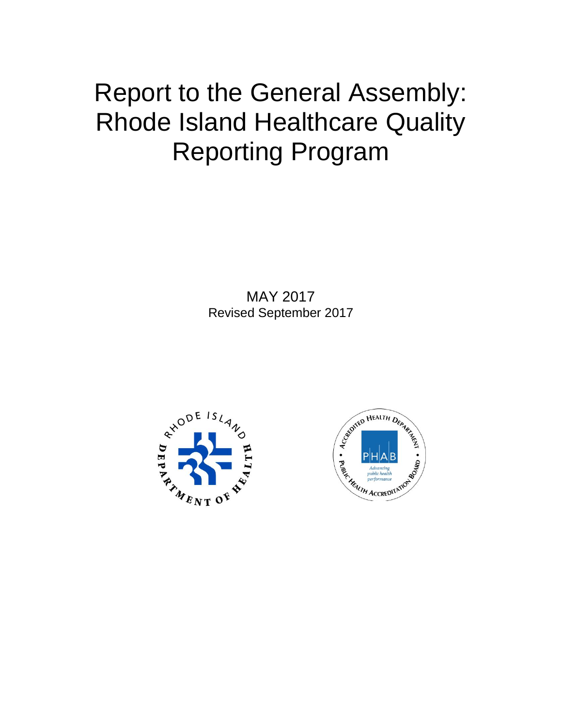# Report to the General Assembly: Rhode Island Healthcare Quality Reporting Program

MAY 2017 Revised September 2017



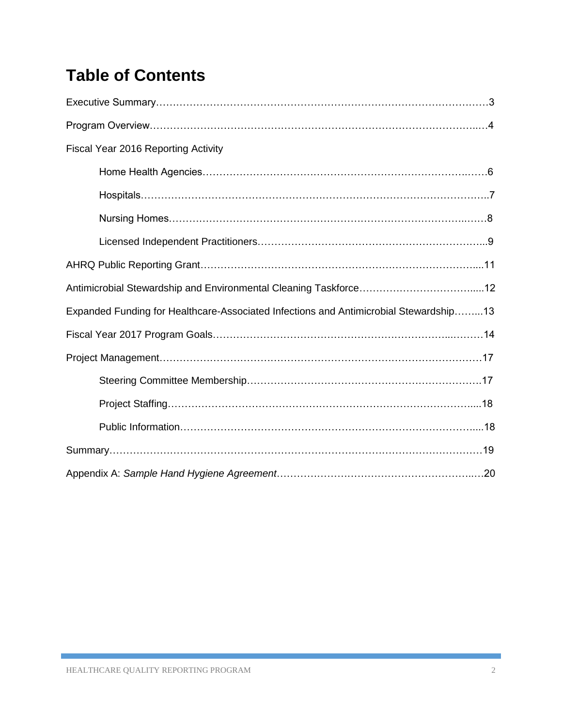# **Table of Contents**

| Fiscal Year 2016 Reporting Activity                                                   |
|---------------------------------------------------------------------------------------|
|                                                                                       |
|                                                                                       |
|                                                                                       |
|                                                                                       |
|                                                                                       |
|                                                                                       |
| Expanded Funding for Healthcare-Associated Infections and Antimicrobial Stewardship13 |
|                                                                                       |
|                                                                                       |
|                                                                                       |
|                                                                                       |
|                                                                                       |
|                                                                                       |
|                                                                                       |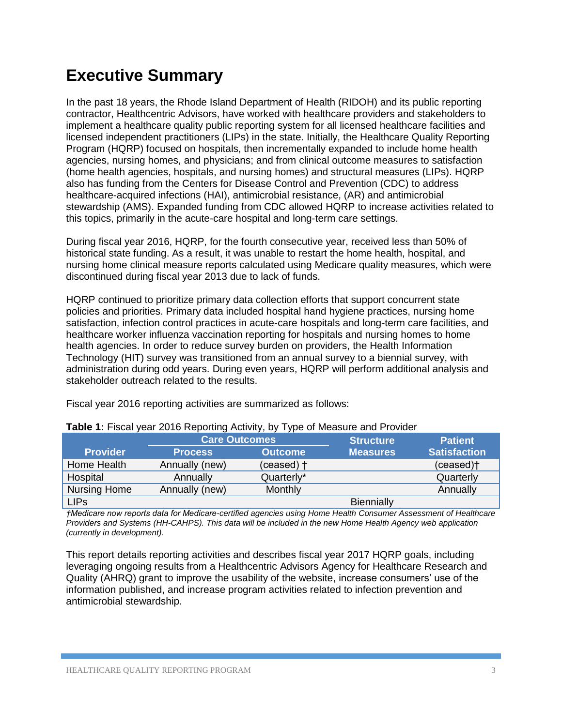# **Executive Summary**

In the past 18 years, the Rhode Island Department of Health (RIDOH) and its public reporting contractor, Healthcentric Advisors, have worked with healthcare providers and stakeholders to implement a healthcare quality public reporting system for all licensed healthcare facilities and licensed independent practitioners (LIPs) in the state. Initially, the Healthcare Quality Reporting Program (HQRP) focused on hospitals, then incrementally expanded to include home health agencies, nursing homes, and physicians; and from clinical outcome measures to satisfaction (home health agencies, hospitals, and nursing homes) and structural measures (LIPs). HQRP also has funding from the Centers for Disease Control and Prevention (CDC) to address healthcare-acquired infections (HAI), antimicrobial resistance, (AR) and antimicrobial stewardship (AMS). Expanded funding from CDC allowed HQRP to increase activities related to this topics, primarily in the acute-care hospital and long-term care settings.

During fiscal year 2016, HQRP, for the fourth consecutive year, received less than 50% of historical state funding. As a result, it was unable to restart the home health, hospital, and nursing home clinical measure reports calculated using Medicare quality measures, which were discontinued during fiscal year 2013 due to lack of funds.

HQRP continued to prioritize primary data collection efforts that support concurrent state policies and priorities. Primary data included hospital hand hygiene practices, nursing home satisfaction, infection control practices in acute-care hospitals and long-term care facilities, and healthcare worker influenza vaccination reporting for hospitals and nursing homes to home health agencies. In order to reduce survey burden on providers, the Health Information Technology (HIT) survey was transitioned from an annual survey to a biennial survey, with administration during odd years. During even years, HQRP will perform additional analysis and stakeholder outreach related to the results.

| <b>Table 1:</b> Fiscal year 2016 Reporting Activity, by Type of Measure and Provider |                      |                |                  |                       |  |  |
|--------------------------------------------------------------------------------------|----------------------|----------------|------------------|-----------------------|--|--|
|                                                                                      | <b>Care Outcomes</b> |                | <b>Structure</b> | <b>Patient</b>        |  |  |
| <b>Provider</b>                                                                      | <b>Process</b>       | <b>Outcome</b> | <b>Measures</b>  | <b>Satisfaction</b>   |  |  |
| Home Health                                                                          | Annually (new)       | (ceased) +     |                  | (ceased) <sup>†</sup> |  |  |
| Hospital                                                                             | Annually             | Quarterly*     |                  | Quarterly             |  |  |
| <b>Nursing Home</b>                                                                  | Annually (new)       | Monthly        |                  | Annually              |  |  |
| <b>LIPS</b>                                                                          |                      |                | Biennially       |                       |  |  |

Fiscal year 2016 reporting activities are summarized as follows:

*†Medicare now reports data for Medicare-certified agencies using Home Health Consumer Assessment of Healthcare Providers and Systems (HH-CAHPS). This data will be included in the new Home Health Agency web application (currently in development).* 

This report details reporting activities and describes fiscal year 2017 HQRP goals, including leveraging ongoing results from a Healthcentric Advisors Agency for Healthcare Research and Quality (AHRQ) grant to improve the usability of the website, increase consumers' use of the information published, and increase program activities related to infection prevention and antimicrobial stewardship.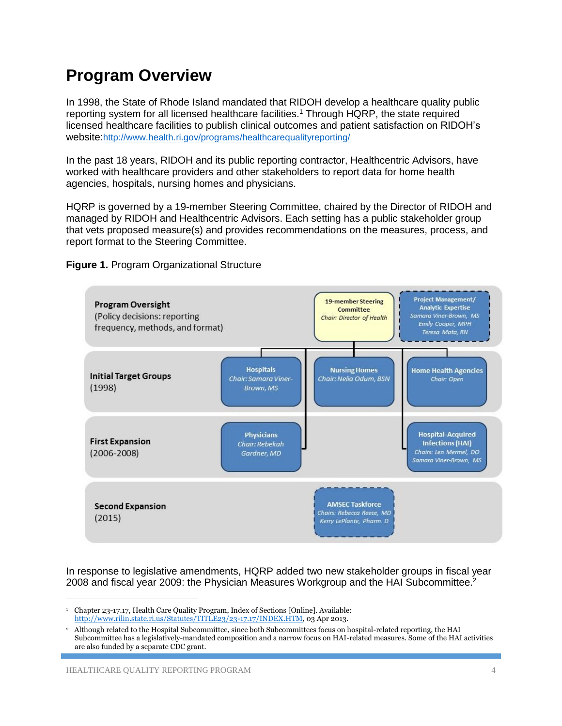### **Program Overview**

In 1998, the State of Rhode Island mandated that RIDOH develop a healthcare quality public reporting system for all licensed healthcare facilities.<sup>1</sup> Through HQRP, the state required licensed healthcare facilities to publish clinical outcomes and patient satisfaction on RIDOH's website:<http://www.health.ri.gov/programs/healthcarequalityreporting/>

In the past 18 years, RIDOH and its public reporting contractor, Healthcentric Advisors, have worked with healthcare providers and other stakeholders to report data for home health agencies, hospitals, nursing homes and physicians.

HQRP is governed by a 19-member Steering Committee, chaired by the Director of RIDOH and managed by RIDOH and Healthcentric Advisors. Each setting has a public stakeholder group that vets proposed measure(s) and provides recommendations on the measures, process, and report format to the Steering Committee.

**Figure 1.** Program Organizational Structure



In response to legislative amendments, HQRP added two new stakeholder groups in fiscal year 2008 and fiscal year 2009: the Physician Measures Workgroup and the HAI Subcommittee.<sup>2</sup>

l

<sup>1</sup> Chapter 23-17.17, Health Care Quality Program, Index of Sections [Online]. Available: [http://www.rilin.state.ri.us/Statutes/TITLE23/23-17.17/INDEX.HTM,](http://www.rilin.state.ri.us/Statutes/TITLE23/23-17.17/INDEX.HTM) 03 Apr 2013.

<sup>2</sup> Although related to the Hospital Subcommittee, since both Subcommittees focus on hospital-related reporting, the HAI Subcommittee has a legislatively-mandated composition and a narrow focus on HAI-related measures. Some of the HAI activities are also funded by a separate CDC grant.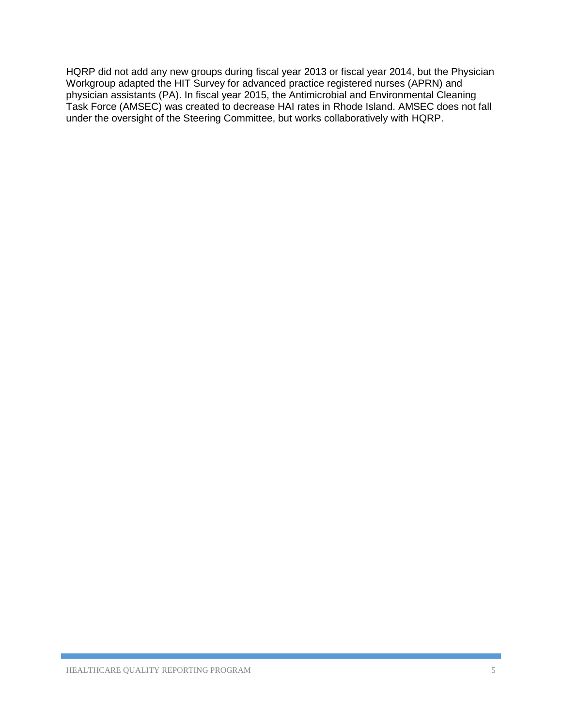HQRP did not add any new groups during fiscal year 2013 or fiscal year 2014, but the Physician Workgroup adapted the HIT Survey for advanced practice registered nurses (APRN) and physician assistants (PA). In fiscal year 2015, the Antimicrobial and Environmental Cleaning Task Force (AMSEC) was created to decrease HAI rates in Rhode Island. AMSEC does not fall under the oversight of the Steering Committee, but works collaboratively with HQRP.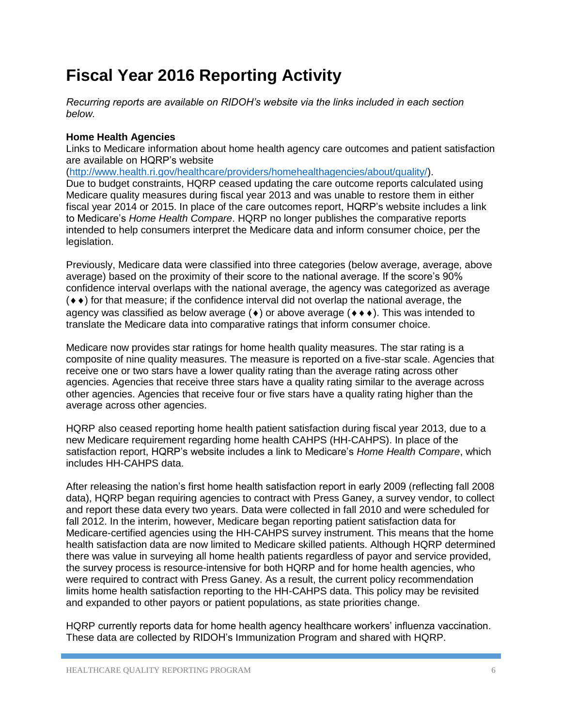# **Fiscal Year 2016 Reporting Activity**

*Recurring reports are available on RIDOH's website via the links included in each section below.* 

### **Home Health Agencies**

Links to Medicare information about home health agency care outcomes and patient satisfaction are available on HQRP's website

[\(http://www.health.ri.gov/healthcare/providers/homehealthagencies/about/quality/\)](http://www.health.ri.gov/healthcare/providers/homehealthagencies/about/quality/). Due to budget constraints, HQRP ceased updating the care outcome reports calculated using Medicare quality measures during fiscal year 2013 and was unable to restore them in either fiscal year 2014 or 2015. In place of the care outcomes report, HQRP's website includes a link to Medicare's *Home Health Compare*. HQRP no longer publishes the comparative reports intended to help consumers interpret the Medicare data and inform consumer choice, per the legislation.

Previously, Medicare data were classified into three categories (below average, average, above average) based on the proximity of their score to the national average. If the score's 90% confidence interval overlaps with the national average, the agency was categorized as average  $($   $\bullet$   $\bullet$ ) for that measure; if the confidence interval did not overlap the national average, the agency was classified as below average  $(\bullet)$  or above average  $(\bullet \bullet \bullet)$ . This was intended to translate the Medicare data into comparative ratings that inform consumer choice.

Medicare now provides star ratings for home health quality measures. The star rating is a composite of nine quality measures. The measure is reported on a five-star scale. Agencies that receive one or two stars have a lower quality rating than the average rating across other agencies. Agencies that receive three stars have a quality rating similar to the average across other agencies. Agencies that receive four or five stars have a quality rating higher than the average across other agencies.

HQRP also ceased reporting home health patient satisfaction during fiscal year 2013, due to a new Medicare requirement regarding home health CAHPS (HH-CAHPS). In place of the satisfaction report, HQRP's website includes a link to Medicare's *Home Health Compare*, which includes HH-CAHPS data.

After releasing the nation's first home health satisfaction report in early 2009 (reflecting fall 2008 data), HQRP began requiring agencies to contract with Press Ganey, a survey vendor, to collect and report these data every two years. Data were collected in fall 2010 and were scheduled for fall 2012. In the interim, however, Medicare began reporting patient satisfaction data for Medicare-certified agencies using the HH-CAHPS survey instrument. This means that the home health satisfaction data are now limited to Medicare skilled patients. Although HQRP determined there was value in surveying all home health patients regardless of payor and service provided, the survey process is resource-intensive for both HQRP and for home health agencies, who were required to contract with Press Ganey. As a result, the current policy recommendation limits home health satisfaction reporting to the HH-CAHPS data. This policy may be revisited and expanded to other payors or patient populations, as state priorities change.

HQRP currently reports data for home health agency healthcare workers' influenza vaccination. These data are collected by RIDOH's Immunization Program and shared with HQRP.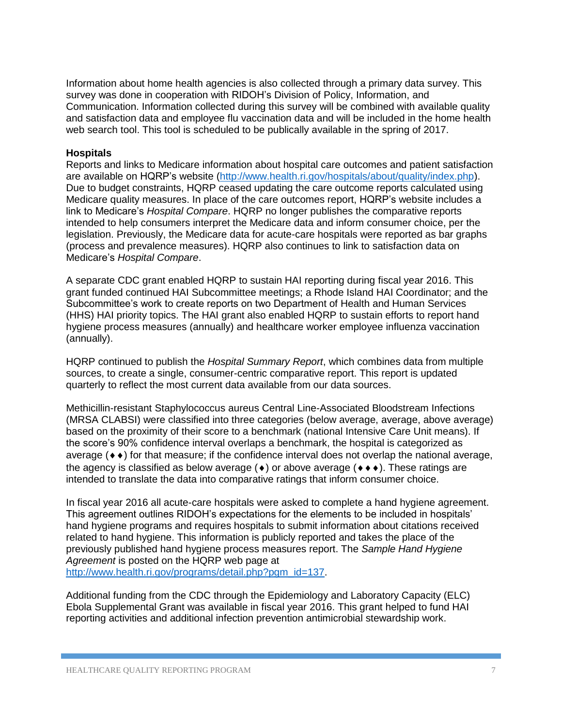Information about home health agencies is also collected through a primary data survey. This survey was done in cooperation with RIDOH's Division of Policy, Information, and Communication. Information collected during this survey will be combined with available quality and satisfaction data and employee flu vaccination data and will be included in the home health web search tool. This tool is scheduled to be publically available in the spring of 2017.

#### **Hospitals**

Reports and links to Medicare information about hospital care outcomes and patient satisfaction are available on HQRP's website [\(http://www.health.ri.gov/hospitals/about/quality/index.php\)](http://www.health.ri.gov/hospitals/about/quality/index.php). Due to budget constraints, HQRP ceased updating the care outcome reports calculated using Medicare quality measures. In place of the care outcomes report, HQRP's website includes a link to Medicare's *Hospital Compare*. HQRP no longer publishes the comparative reports intended to help consumers interpret the Medicare data and inform consumer choice, per the legislation. Previously, the Medicare data for acute-care hospitals were reported as bar graphs (process and prevalence measures). HQRP also continues to link to satisfaction data on Medicare's *Hospital Compare*.

A separate CDC grant enabled HQRP to sustain HAI reporting during fiscal year 2016. This grant funded continued HAI Subcommittee meetings; a Rhode Island HAI Coordinator; and the Subcommittee's work to create reports on two Department of Health and Human Services (HHS) HAI priority topics. The HAI grant also enabled HQRP to sustain efforts to report hand hygiene process measures (annually) and healthcare worker employee influenza vaccination (annually).

HQRP continued to publish the *Hospital Summary Report*, which combines data from multiple sources, to create a single, consumer-centric comparative report. This report is updated quarterly to reflect the most current data available from our data sources.

Methicillin-resistant Staphylococcus aureus Central Line-Associated Bloodstream Infections (MRSA CLABSI) were classified into three categories (below average, average, above average) based on the proximity of their score to a benchmark (national Intensive Care Unit means). If the score's 90% confidence interval overlaps a benchmark, the hospital is categorized as average  $(\bullet \bullet)$  for that measure; if the confidence interval does not overlap the national average, the agency is classified as below average ( $\bullet$ ) or above average ( $\bullet \bullet \bullet$ ). These ratings are intended to translate the data into comparative ratings that inform consumer choice.

In fiscal year 2016 all acute-care hospitals were asked to complete a hand hygiene agreement. This agreement outlines RIDOH's expectations for the elements to be included in hospitals' hand hygiene programs and requires hospitals to submit information about citations received related to hand hygiene. This information is publicly reported and takes the place of the previously published hand hygiene process measures report. The *Sample Hand Hygiene Agreement* is posted on the HQRP web page at

[http://www.health.ri.gov/programs/detail.php?pgm\\_id=137.](http://www.health.ri.gov/programs/detail.php?pgm_id=137)

Additional funding from the CDC through the Epidemiology and Laboratory Capacity (ELC) Ebola Supplemental Grant was available in fiscal year 2016. This grant helped to fund HAI reporting activities and additional infection prevention antimicrobial stewardship work.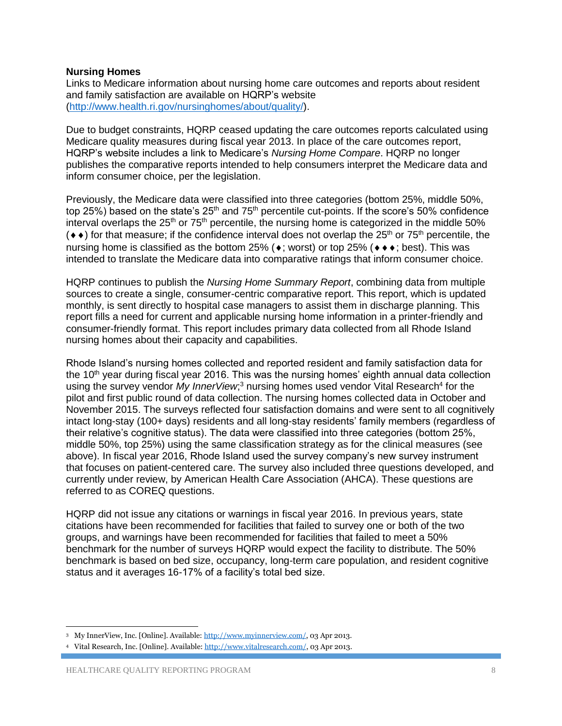#### **Nursing Homes**

Links to Medicare information about nursing home care outcomes and reports about resident and family satisfaction are available on HQRP's website [\(http://www.health.ri.gov/nursinghomes/about/quality/\)](http://www.health.ri.gov/nursinghomes/about/quality/).

Due to budget constraints, HQRP ceased updating the care outcomes reports calculated using Medicare quality measures during fiscal year 2013. In place of the care outcomes report, HQRP's website includes a link to Medicare's *Nursing Home Compare*. HQRP no longer publishes the comparative reports intended to help consumers interpret the Medicare data and inform consumer choice, per the legislation.

Previously, the Medicare data were classified into three categories (bottom 25%, middle 50%, top 25%) based on the state's  $25<sup>th</sup>$  and 75<sup>th</sup> percentile cut-points. If the score's 50% confidence interval overlaps the  $25<sup>th</sup>$  or  $75<sup>th</sup>$  percentile, the nursing home is categorized in the middle 50%  $(•\bullet)$  for that measure; if the confidence interval does not overlap the 25<sup>th</sup> or 75<sup>th</sup> percentile, the nursing home is classified as the bottom 25% ( $\bullet$ ; worst) or top 25% ( $\bullet \bullet \bullet$ ; best). This was intended to translate the Medicare data into comparative ratings that inform consumer choice.

HQRP continues to publish the *Nursing Home Summary Report*, combining data from multiple sources to create a single, consumer-centric comparative report. This report, which is updated monthly, is sent directly to hospital case managers to assist them in discharge planning. This report fills a need for current and applicable nursing home information in a printer-friendly and consumer-friendly format. This report includes primary data collected from all Rhode Island nursing homes about their capacity and capabilities.

Rhode Island's nursing homes collected and reported resident and family satisfaction data for the 10<sup>th</sup> vear during fiscal year 2016. This was the nursing homes' eighth annual data collection using the survey vendor My InnerView;<sup>3</sup> nursing homes used vendor Vital Research<sup>4</sup> for the pilot and first public round of data collection. The nursing homes collected data in October and November 2015. The surveys reflected four satisfaction domains and were sent to all cognitively intact long-stay (100+ days) residents and all long-stay residents' family members (regardless of their relative's cognitive status). The data were classified into three categories (bottom 25%, middle 50%, top 25%) using the same classification strategy as for the clinical measures (see above). In fiscal year 2016, Rhode Island used the survey company's new survey instrument that focuses on patient-centered care. The survey also included three questions developed, and currently under review, by American Health Care Association (AHCA). These questions are referred to as COREQ questions.

HQRP did not issue any citations or warnings in fiscal year 2016. In previous years, state citations have been recommended for facilities that failed to survey one or both of the two groups, and warnings have been recommended for facilities that failed to meet a 50% benchmark for the number of surveys HQRP would expect the facility to distribute. The 50% benchmark is based on bed size, occupancy, long-term care population, and resident cognitive status and it averages 16-17% of a facility's total bed size.

l

<sup>3</sup> My InnerView, Inc. [Online]. Available[: http://www.myinnerview.com/,](http://www.myinnerview.com/) 03 Apr 2013.

<sup>4</sup> Vital Research, Inc. [Online]. Available: [http://www.vitalresearch.com/,](http://www.vitalresearch.com/) 03 Apr 2013.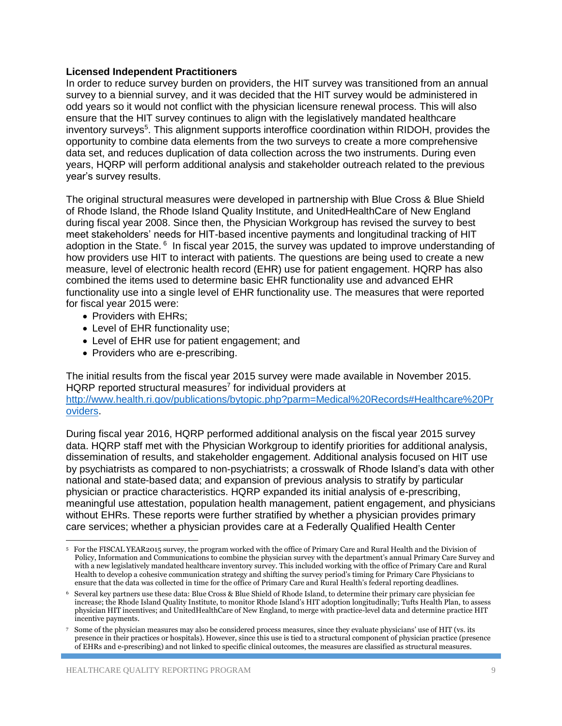#### **Licensed Independent Practitioners**

In order to reduce survey burden on providers, the HIT survey was transitioned from an annual survey to a biennial survey, and it was decided that the HIT survey would be administered in odd years so it would not conflict with the physician licensure renewal process. This will also ensure that the HIT survey continues to align with the legislatively mandated healthcare inventory surveys<sup>5</sup>. This alignment supports interoffice coordination within RIDOH, provides the opportunity to combine data elements from the two surveys to create a more comprehensive data set, and reduces duplication of data collection across the two instruments. During even years, HQRP will perform additional analysis and stakeholder outreach related to the previous year's survey results.

The original structural measures were developed in partnership with Blue Cross & Blue Shield of Rhode Island, the Rhode Island Quality Institute, and UnitedHealthCare of New England during fiscal year 2008. Since then, the Physician Workgroup has revised the survey to best meet stakeholders' needs for HIT-based incentive payments and longitudinal tracking of HIT adoption in the State. <sup>6</sup> In fiscal year 2015, the survey was updated to improve understanding of how providers use HIT to interact with patients. The questions are being used to create a new measure, level of electronic health record (EHR) use for patient engagement. HQRP has also combined the items used to determine basic EHR functionality use and advanced EHR functionality use into a single level of EHR functionality use. The measures that were reported for fiscal year 2015 were:

- Providers with EHRs;
- Level of EHR functionality use;
- Level of EHR use for patient engagement; and
- Providers who are e-prescribing.

The initial results from the fiscal year 2015 survey were made available in November 2015. HQRP reported structural measures<sup>7</sup> for individual providers at [http://www.health.ri.gov/publications/bytopic.php?parm=Medical%20Records#Healthcare%20Pr](http://www.health.ri.gov/publications/bytopic.php?parm=Medical%20Records#Healthcare%20Providers) [oviders.](http://www.health.ri.gov/publications/bytopic.php?parm=Medical%20Records#Healthcare%20Providers)

During fiscal year 2016, HQRP performed additional analysis on the fiscal year 2015 survey data. HQRP staff met with the Physician Workgroup to identify priorities for additional analysis, dissemination of results, and stakeholder engagement. Additional analysis focused on HIT use by psychiatrists as compared to non-psychiatrists; a crosswalk of Rhode Island's data with other national and state-based data; and expansion of previous analysis to stratify by particular physician or practice characteristics. HQRP expanded its initial analysis of e-prescribing, meaningful use attestation, population health management, patient engagement, and physicians without EHRs. These reports were further stratified by whether a physician provides primary care services; whether a physician provides care at a Federally Qualified Health Center

l 5 For the FISCAL YEAR2015 survey, the program worked with the office of Primary Care and Rural Health and the Division of Policy, Information and Communications to combine the physician survey with the department's annual Primary Care Survey and with a new legislatively mandated healthcare inventory survey. This included working with the office of Primary Care and Rural Health to develop a cohesive communication strategy and shifting the survey period's timing for Primary Care Physicians to ensure that the data was collected in time for the office of Primary Care and Rural Health's federal reporting deadlines.

<sup>6</sup> Several key partners use these data: Blue Cross & Blue Shield of Rhode Island, to determine their primary care physician fee increase; the Rhode Island Quality Institute, to monitor Rhode Island's HIT adoption longitudinally; Tufts Health Plan, to assess physician HIT incentives; and UnitedHealthCare of New England, to merge with practice-level data and determine practice HIT incentive payments.

<sup>7</sup> Some of the physician measures may also be considered process measures, since they evaluate physicians' use of HIT (vs. its presence in their practices or hospitals). However, since this use is tied to a structural component of physician practice (presence of EHRs and e-prescribing) and not linked to specific clinical outcomes, the measures are classified as structural measures.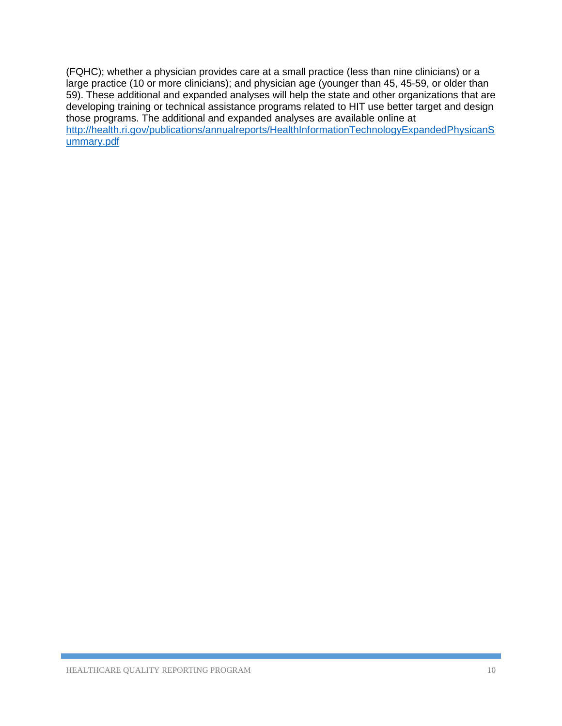(FQHC); whether a physician provides care at a small practice (less than nine clinicians) or a large practice (10 or more clinicians); and physician age (younger than 45, 45-59, or older than 59). These additional and expanded analyses will help the state and other organizations that are developing training or technical assistance programs related to HIT use better target and design those programs. The additional and expanded analyses are available online at [http://health.ri.gov/publications/annualreports/HealthInformationTechnologyExpandedPhysicanS](http://health.ri.gov/publications/annualreports/HealthInformationTechnologyExpandedPhysicanSummary.pdf) [ummary.pdf](http://health.ri.gov/publications/annualreports/HealthInformationTechnologyExpandedPhysicanSummary.pdf)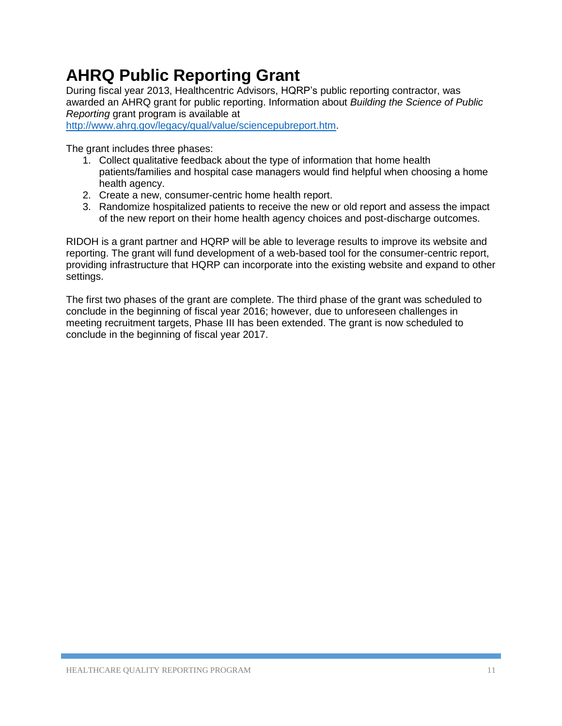# **AHRQ Public Reporting Grant**

During fiscal year 2013, Healthcentric Advisors, HQRP's public reporting contractor, was awarded an AHRQ grant for public reporting. Information about *Building the Science of Public Reporting* grant program is available at

[http://www.ahrq.gov/legacy/qual/value/sciencepubreport.htm.](http://www.ahrq.gov/legacy/qual/value/sciencepubreport.htm)

The grant includes three phases:

- 1. Collect qualitative feedback about the type of information that home health patients/families and hospital case managers would find helpful when choosing a home health agency.
- 2. Create a new, consumer-centric home health report.
- 3. Randomize hospitalized patients to receive the new or old report and assess the impact of the new report on their home health agency choices and post-discharge outcomes.

RIDOH is a grant partner and HQRP will be able to leverage results to improve its website and reporting. The grant will fund development of a web-based tool for the consumer-centric report, providing infrastructure that HQRP can incorporate into the existing website and expand to other settings.

The first two phases of the grant are complete. The third phase of the grant was scheduled to conclude in the beginning of fiscal year 2016; however, due to unforeseen challenges in meeting recruitment targets, Phase III has been extended. The grant is now scheduled to conclude in the beginning of fiscal year 2017.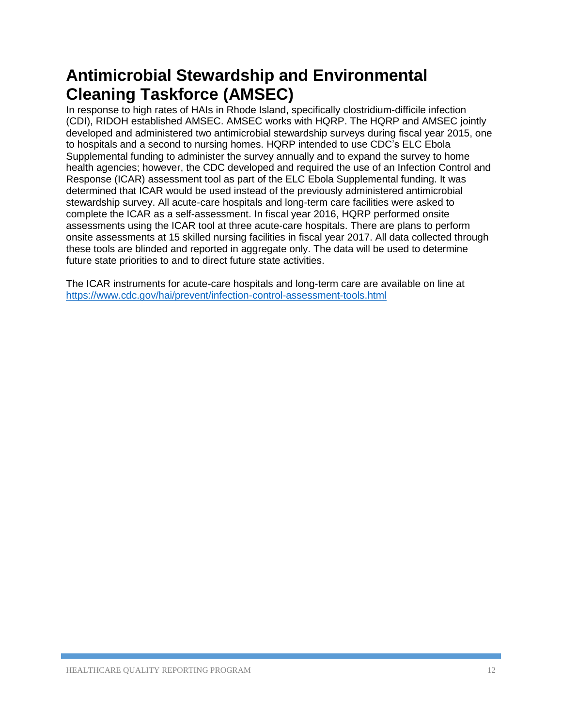# **Antimicrobial Stewardship and Environmental Cleaning Taskforce (AMSEC)**

In response to high rates of HAIs in Rhode Island, specifically clostridium-difficile infection (CDI), RIDOH established AMSEC. AMSEC works with HQRP. The HQRP and AMSEC jointly developed and administered two antimicrobial stewardship surveys during fiscal year 2015, one to hospitals and a second to nursing homes. HQRP intended to use CDC's ELC Ebola Supplemental funding to administer the survey annually and to expand the survey to home health agencies; however, the CDC developed and required the use of an Infection Control and Response (ICAR) assessment tool as part of the ELC Ebola Supplemental funding. It was determined that ICAR would be used instead of the previously administered antimicrobial stewardship survey. All acute-care hospitals and long-term care facilities were asked to complete the ICAR as a self-assessment. In fiscal year 2016, HQRP performed onsite assessments using the ICAR tool at three acute-care hospitals. There are plans to perform onsite assessments at 15 skilled nursing facilities in fiscal year 2017. All data collected through these tools are blinded and reported in aggregate only. The data will be used to determine future state priorities to and to direct future state activities.

The ICAR instruments for acute-care hospitals and long-term care are available on line at <https://www.cdc.gov/hai/prevent/infection-control-assessment-tools.html>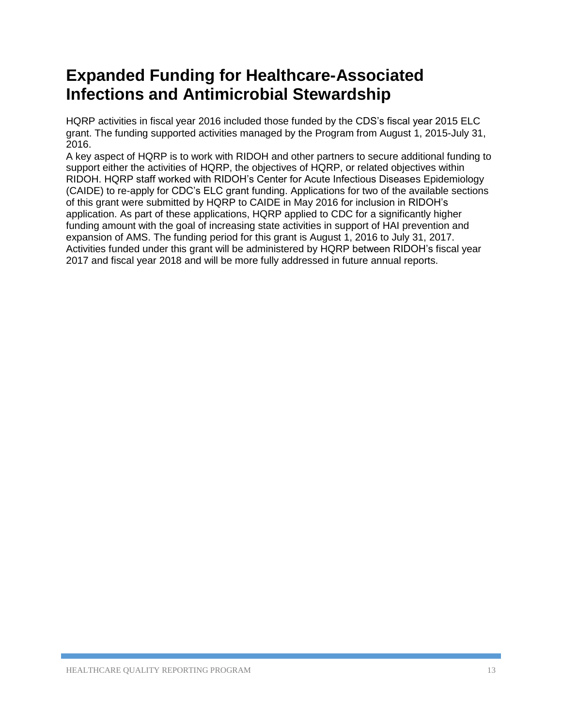# **Expanded Funding for Healthcare-Associated Infections and Antimicrobial Stewardship**

HQRP activities in fiscal year 2016 included those funded by the CDS's fiscal year 2015 ELC grant. The funding supported activities managed by the Program from August 1, 2015-July 31, 2016.

A key aspect of HQRP is to work with RIDOH and other partners to secure additional funding to support either the activities of HQRP, the objectives of HQRP, or related objectives within RIDOH. HQRP staff worked with RIDOH's Center for Acute Infectious Diseases Epidemiology (CAIDE) to re-apply for CDC's ELC grant funding. Applications for two of the available sections of this grant were submitted by HQRP to CAIDE in May 2016 for inclusion in RIDOH's application. As part of these applications, HQRP applied to CDC for a significantly higher funding amount with the goal of increasing state activities in support of HAI prevention and expansion of AMS. The funding period for this grant is August 1, 2016 to July 31, 2017. Activities funded under this grant will be administered by HQRP between RIDOH's fiscal year 2017 and fiscal year 2018 and will be more fully addressed in future annual reports.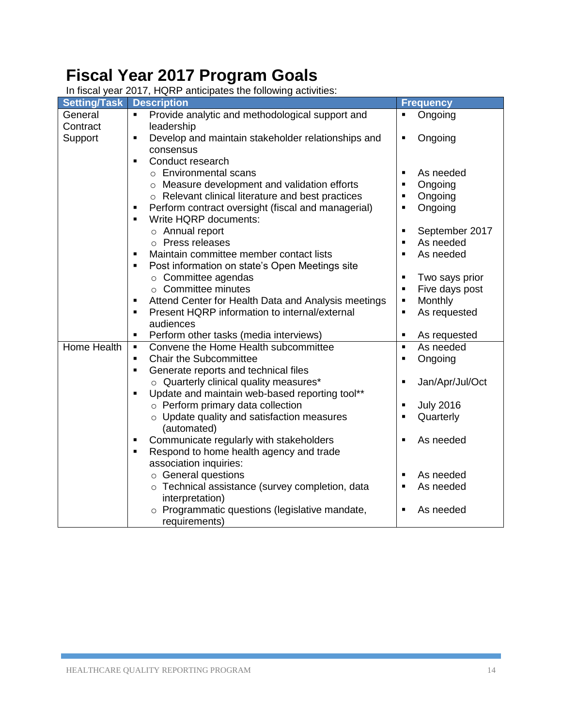# **Fiscal Year 2017 Program Goals**

| <b>Setting/Task</b> | <b>Description</b>                                                                                         | <b>Frequency</b>                            |
|---------------------|------------------------------------------------------------------------------------------------------------|---------------------------------------------|
| General             | Provide analytic and methodological support and<br>٠                                                       | Ongoing<br>٠                                |
| Contract            | leadership                                                                                                 |                                             |
| Support             | Develop and maintain stakeholder relationships and<br>٠                                                    | Ongoing<br>$\blacksquare$                   |
|                     | consensus                                                                                                  |                                             |
|                     | Conduct research<br>$\blacksquare$                                                                         |                                             |
|                     | $\circ$ Environmental scans                                                                                | As needed<br>$\blacksquare$                 |
|                     | o Measure development and validation efforts                                                               | Ongoing<br>٠                                |
|                     | o Relevant clinical literature and best practices                                                          | Ongoing<br>$\blacksquare$                   |
|                     | Perform contract oversight (fiscal and managerial)<br>٠                                                    | Ongoing<br>$\blacksquare$                   |
|                     | Write HQRP documents:<br>$\blacksquare$                                                                    |                                             |
|                     | o Annual report                                                                                            | September 2017<br>$\blacksquare$            |
|                     | o Press releases                                                                                           | As needed<br>$\blacksquare$                 |
|                     | Maintain committee member contact lists<br>٠                                                               | As needed<br>$\blacksquare$                 |
|                     | Post information on state's Open Meetings site<br>٠                                                        |                                             |
|                     | $\circ$ Committee agendas                                                                                  | Two says prior<br>$\blacksquare$            |
|                     | $\circ$ Committee minutes                                                                                  | Five days post<br>$\blacksquare$            |
|                     | Attend Center for Health Data and Analysis meetings<br>٠                                                   | Monthly<br>$\blacksquare$                   |
|                     | Present HQRP information to internal/external<br>٠                                                         | As requested<br>$\blacksquare$              |
|                     | audiences                                                                                                  | $\blacksquare$                              |
| Home Health         | Perform other tasks (media interviews)<br>٠<br>Convene the Home Health subcommittee<br>٠                   | As requested<br>As needed<br>$\blacksquare$ |
|                     | <b>Chair the Subcommittee</b><br>$\blacksquare$                                                            | $\blacksquare$                              |
|                     | ٠                                                                                                          | Ongoing                                     |
|                     | Generate reports and technical files                                                                       | П                                           |
|                     | ○ Quarterly clinical quality measures*<br>Update and maintain web-based reporting tool**<br>$\blacksquare$ | Jan/Apr/Jul/Oct                             |
|                     | $\circ$ Perform primary data collection                                                                    | <b>July 2016</b><br>Ξ                       |
|                     | o Update quality and satisfaction measures                                                                 | Quarterly<br>$\blacksquare$                 |
|                     | (automated)                                                                                                |                                             |
|                     | Communicate regularly with stakeholders<br>٠                                                               | As needed<br>$\blacksquare$                 |
|                     | Respond to home health agency and trade<br>٠                                                               |                                             |
|                     | association inquiries:                                                                                     |                                             |
|                     | ○ General questions                                                                                        | As needed<br>٠                              |
|                     | o Technical assistance (survey completion, data                                                            | As needed<br>$\blacksquare$                 |
|                     | interpretation)                                                                                            |                                             |
|                     | o Programmatic questions (legislative mandate,                                                             | As needed<br>٠                              |
|                     | requirements)                                                                                              |                                             |

In fiscal year 2017, HQRP anticipates the following activities: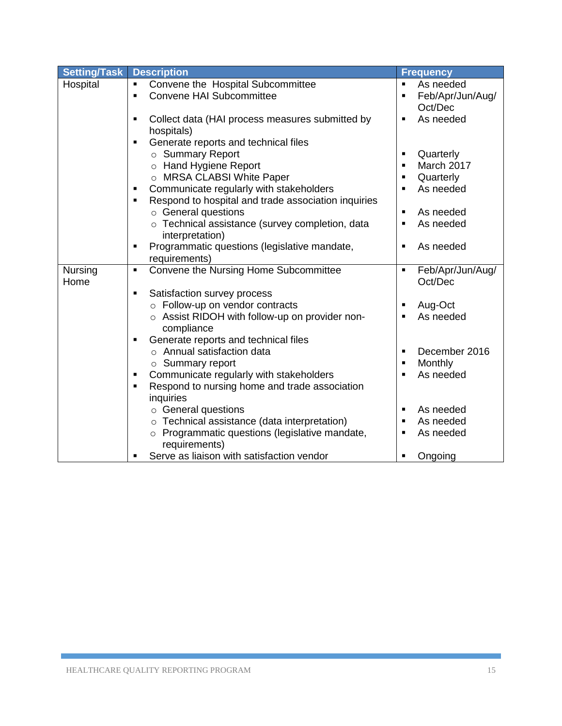| Setting/Task | <b>Description</b>                                                                | <b>Frequency</b>                                         |
|--------------|-----------------------------------------------------------------------------------|----------------------------------------------------------|
| Hospital     | Convene the Hospital Subcommittee<br>٠                                            | As needed<br>$\blacksquare$                              |
|              | <b>Convene HAI Subcommittee</b><br>$\blacksquare$                                 | Feb/Apr/Jun/Aug/<br>$\blacksquare$                       |
|              |                                                                                   | Oct/Dec                                                  |
|              | Collect data (HAI process measures submitted by                                   | As needed                                                |
|              | hospitals)<br>$\blacksquare$                                                      |                                                          |
|              | Generate reports and technical files<br>○ Summary Report                          | Quarterly<br>٠                                           |
|              | o Hand Hygiene Report                                                             | March 2017<br>$\blacksquare$                             |
|              | o MRSA CLABSI White Paper                                                         | Quarterly<br>$\blacksquare$                              |
|              | Communicate regularly with stakeholders<br>$\blacksquare$                         | As needed                                                |
|              | Respond to hospital and trade association inquiries                               |                                                          |
|              | $\circ$ General questions                                                         | As needed<br>$\blacksquare$                              |
|              | o Technical assistance (survey completion, data<br>interpretation)                | As needed                                                |
|              | Programmatic questions (legislative mandate,                                      | As needed<br>$\blacksquare$                              |
|              | requirements)                                                                     |                                                          |
| Nursing      | Convene the Nursing Home Subcommittee<br>$\blacksquare$                           | Feb/Apr/Jun/Aug/<br>$\blacksquare$                       |
| Home         |                                                                                   | Oct/Dec                                                  |
|              | Satisfaction survey process<br>٠                                                  |                                                          |
|              | o Follow-up on vendor contracts<br>o Assist RIDOH with follow-up on provider non- | Aug-Oct<br>$\blacksquare$<br>As needed<br>$\blacksquare$ |
|              | compliance                                                                        |                                                          |
|              | Generate reports and technical files                                              |                                                          |
|              | ○ Annual satisfaction data                                                        | December 2016                                            |
|              | $\circ$ Summary report                                                            | Monthly<br>$\blacksquare$                                |
|              | Communicate regularly with stakeholders<br>٠                                      | As needed                                                |
|              | Respond to nursing home and trade association<br>$\blacksquare$                   |                                                          |
|              | inquiries                                                                         |                                                          |
|              | ○ General questions                                                               | As needed<br>$\blacksquare$                              |
|              | o Technical assistance (data interpretation)                                      | As needed<br>$\blacksquare$                              |
|              | o Programmatic questions (legislative mandate,<br>requirements)                   | As needed                                                |
|              | Serve as liaison with satisfaction vendor                                         | Ongoing                                                  |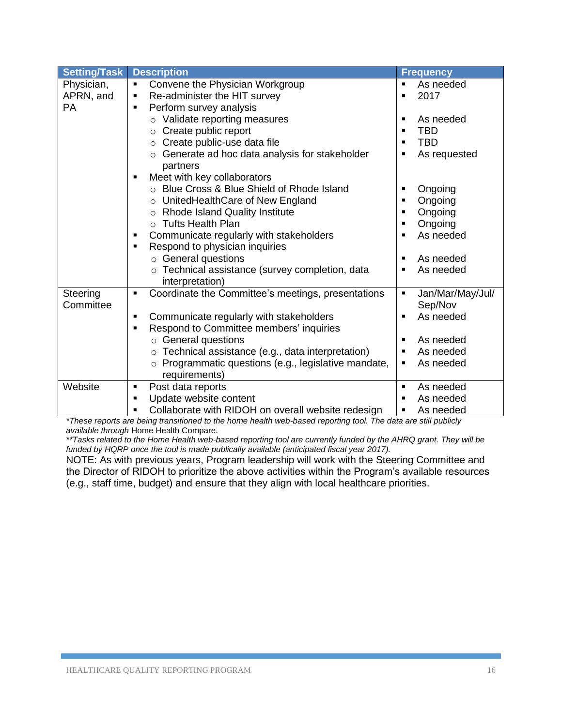| <b>Setting/Task</b> | <b>Description</b>                                                                                   | <b>Frequency</b>             |
|---------------------|------------------------------------------------------------------------------------------------------|------------------------------|
| Physician,          | Convene the Physician Workgroup<br>٠                                                                 | As needed<br>$\blacksquare$  |
| APRN, and           | Re-administer the HIT survey<br>٠                                                                    | 2017                         |
| PA                  | Perform survey analysis<br>٠                                                                         |                              |
|                     | o Validate reporting measures                                                                        | As needed<br>$\blacksquare$  |
|                     | ○ Create public report                                                                               | <b>TBD</b><br>$\blacksquare$ |
|                     | Create public-use data file<br>$\circ$                                                               | <b>TBD</b><br>■              |
|                     | Generate ad hoc data analysis for stakeholder<br>$\circ$<br>partners                                 | As requested                 |
|                     | Meet with key collaborators                                                                          |                              |
|                     | ○ Blue Cross & Blue Shield of Rhode Island                                                           | Ongoing<br>٠                 |
|                     | o UnitedHealthCare of New England                                                                    | Ongoing<br>$\blacksquare$    |
|                     | o Rhode Island Quality Institute                                                                     | Ongoing<br>$\blacksquare$    |
|                     | ○ Tufts Health Plan                                                                                  | Ongoing<br>$\blacksquare$    |
|                     | Communicate regularly with stakeholders<br>٠                                                         | As needed                    |
|                     | Respond to physician inquiries<br>٠                                                                  |                              |
|                     | ○ General questions                                                                                  | As needed                    |
|                     | o Technical assistance (survey completion, data<br>interpretation)                                   | As needed                    |
| Steering            | Coordinate the Committee's meetings, presentations<br>$\blacksquare$                                 | Jan/Mar/May/Jul/<br>٠        |
| Committee           |                                                                                                      | Sep/Nov                      |
|                     | Communicate regularly with stakeholders<br>Respond to Committee members' inquiries<br>$\blacksquare$ | As needed<br>$\blacksquare$  |
|                     | $\circ$ General questions                                                                            | As needed<br>$\blacksquare$  |
|                     | $\circ$ Technical assistance (e.g., data interpretation)                                             | As needed<br>$\blacksquare$  |
|                     | Programmatic questions (e.g., legislative mandate,<br>$\circ$                                        | As needed<br>$\blacksquare$  |
|                     | requirements)                                                                                        |                              |
| Website             | Post data reports<br>$\blacksquare$                                                                  | As needed<br>$\blacksquare$  |
|                     | Update website content<br>$\blacksquare$                                                             | As needed                    |
|                     | Collaborate with RIDOH on overall website redesign                                                   | As needed                    |

*\*These reports are being transitioned to the home health web-based reporting tool. The data are still publicly available through* Home Health Compare.

*\*\*Tasks related to the Home Health web-based reporting tool are currently funded by the AHRQ grant. They will be funded by HQRP once the tool is made publically available (anticipated fiscal year 2017).*

NOTE: As with previous years, Program leadership will work with the Steering Committee and the Director of RIDOH to prioritize the above activities within the Program's available resources (e.g., staff time, budget) and ensure that they align with local healthcare priorities.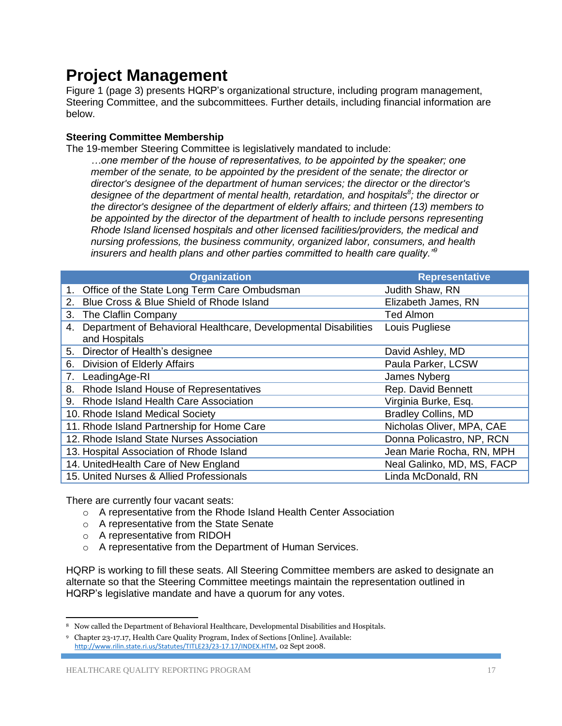### **Project Management**

Figure 1 (page 3) presents HQRP's organizational structure, including program management, Steering Committee, and the subcommittees. Further details, including financial information are below.

### **Steering Committee Membership**

The 19-member Steering Committee is legislatively mandated to include:

*…one member of the house of representatives, to be appointed by the speaker; one member of the senate, to be appointed by the president of the senate; the director or director's designee of the department of human services; the director or the director's designee of the department of mental health, retardation, and hospitals<sup>8</sup> ; the director or the director's designee of the department of elderly affairs; and thirteen (13) members to be appointed by the director of the department of health to include persons representing Rhode Island licensed hospitals and other licensed facilities/providers, the medical and nursing professions, the business community, organized labor, consumers, and health insurers and health plans and other parties committed to health care quality."<sup>9</sup>*

|    | <b>Organization</b>                                                              | <b>Representative</b>      |
|----|----------------------------------------------------------------------------------|----------------------------|
|    | Office of the State Long Term Care Ombudsman                                     | Judith Shaw, RN            |
| 2. | Blue Cross & Blue Shield of Rhode Island                                         | Elizabeth James, RN        |
| 3. | The Claflin Company                                                              | <b>Ted Almon</b>           |
| 4. | Department of Behavioral Healthcare, Developmental Disabilities<br>and Hospitals | Louis Pugliese             |
|    | 5. Director of Health's designee                                                 | David Ashley, MD           |
| 6. | Division of Elderly Affairs                                                      | Paula Parker, LCSW         |
| 7. | LeadingAge-RI                                                                    | James Nyberg               |
|    | 8. Rhode Island House of Representatives                                         | Rep. David Bennett         |
|    | 9. Rhode Island Health Care Association                                          | Virginia Burke, Esq.       |
|    | 10. Rhode Island Medical Society                                                 | <b>Bradley Collins, MD</b> |
|    | 11. Rhode Island Partnership for Home Care                                       | Nicholas Oliver, MPA, CAE  |
|    | 12. Rhode Island State Nurses Association                                        | Donna Policastro, NP, RCN  |
|    | 13. Hospital Association of Rhode Island                                         | Jean Marie Rocha, RN, MPH  |
|    | 14. UnitedHealth Care of New England                                             | Neal Galinko, MD, MS, FACP |
|    | 15. United Nurses & Allied Professionals                                         | Linda McDonald, RN         |

There are currently four vacant seats:

- o A representative from the Rhode Island Health Center Association
- o A representative from the State Senate
- o A representative from RIDOH
- o A representative from the Department of Human Services.

HQRP is working to fill these seats. All Steering Committee members are asked to designate an alternate so that the Steering Committee meetings maintain the representation outlined in HQRP's legislative mandate and have a quorum for any votes.

 $\overline{\phantom{a}}$ <sup>8</sup> Now called the Department of Behavioral Healthcare, Developmental Disabilities and Hospitals.

<sup>9</sup> Chapter 23-17.17, Health Care Quality Program, Index of Sections [Online]. Available: <http://www.rilin.state.ri.us/Statutes/TITLE23/23-17.17/INDEX.HTM>, 02 Sept 2008.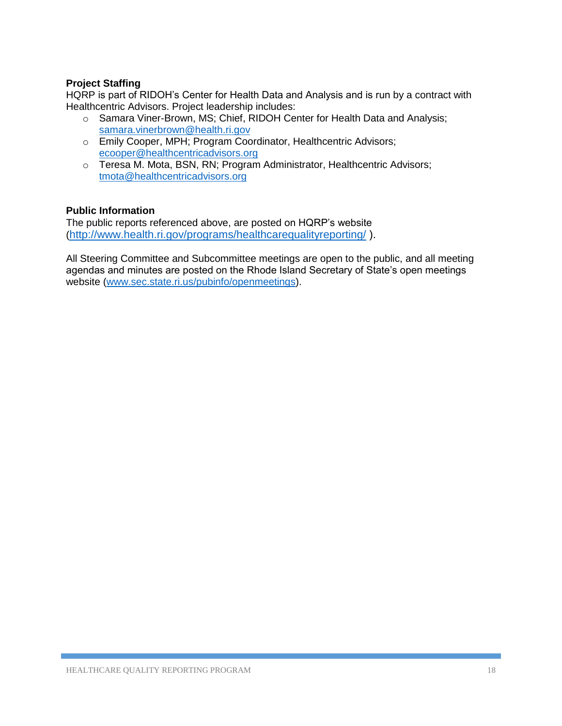### **Project Staffing**

HQRP is part of RIDOH's Center for Health Data and Analysis and is run by a contract with Healthcentric Advisors. Project leadership includes:

- o Samara Viner-Brown, MS; Chief, RIDOH Center for Health Data and Analysis; [samara.vinerbrown@health.ri.gov](mailto:samara.vinerbrown@health.ri.gov)
- o Emily Cooper, MPH; Program Coordinator, Healthcentric Advisors; [ecooper@healthcentricadvisors.org](mailto:ecooper@healthcentricadvisors.org)
- o Teresa M. Mota, BSN, RN; Program Administrator, Healthcentric Advisors; [tmota@healthcentricadvisors.org](mailto:tmota@healthcentricadvisors.org)

### **Public Information**

The public reports referenced above, are posted on HQRP's website (<http://www.health.ri.gov/programs/healthcarequalityreporting/> ).

All Steering Committee and Subcommittee meetings are open to the public, and all meeting agendas and minutes are posted on the Rhode Island Secretary of State's open meetings website [\(www.sec.state.ri.us/pubinfo/openmeetings\)](http://www.sec.state.ri.us/pubinfo/openmeetings).